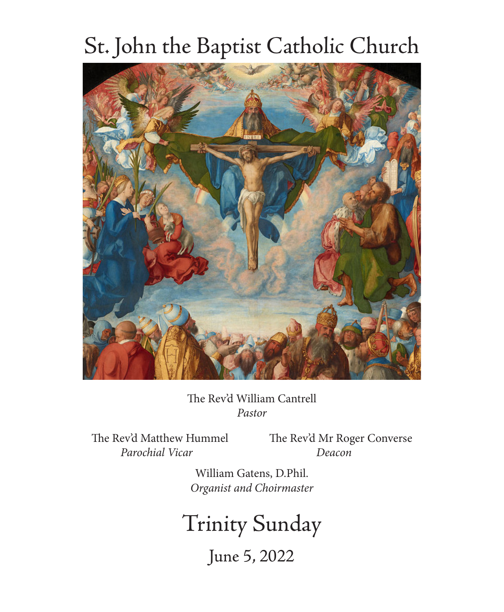# St. John the Baptist Catholic Church



The Rev'd William Cantrell *Pastor*

 *Parochial Vicar Deacon*

The Rev'd Matthew Hummel The Rev'd Mr Roger Converse

William Gatens, D.Phil. *Organist and Choirmaster*

Trinity Sunday

June 5, 2022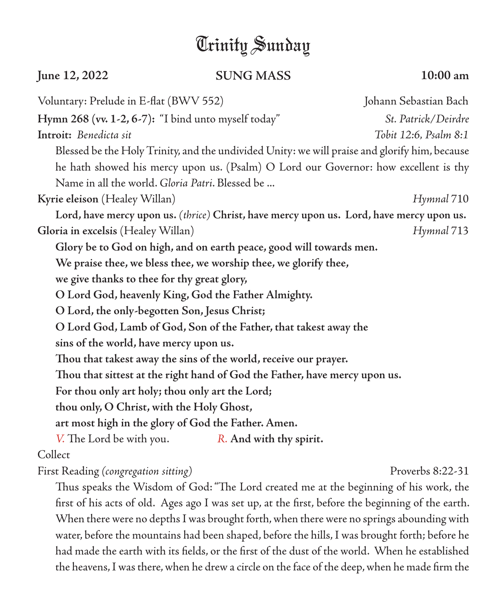## Trinity Sunday

### **June 12, 2022 SUNG MASS 10:00 am**

Voluntary: Prelude in E-flat (BWV 552) Johann Sebastian Bach **Hymn 268 (vv. 1-2, 6-7):** "I bind unto myself today" *St. Patrick/Deirdre* **Introit:** *Benedicta sit Tobit 12:6, Psalm 8:1* Blessed be the Holy Trinity, and the undivided Unity: we will praise and glorify him, because he hath showed his mercy upon us. (Psalm) O Lord our Governor: how excellent is thy Name in all the world. *Gloria Patri*. Blessed be ... **Kyrie eleison** (Healey Willan) *Hymnal* 710 **Lord, have mercy upon us.** *(thrice)* **Christ, have mercy upon us. Lord, have mercy upon us. Gloria in excelsis** (Healey Willan) *Hymnal* 713 **Glory be to God on high, and on earth peace, good will towards men. We praise thee, we bless thee, we worship thee, we glorify thee, we give thanks to thee for thy great glory, O Lord God, heavenly King, God the Father Almighty. O Lord, the only-begotten Son, Jesus Christ; O Lord God, Lamb of God, Son of the Father, that takest away the sins of the world, have mercy upon us. Thou that takest away the sins of the world, receive our prayer. Thou that sittest at the right hand of God the Father, have mercy upon us. For thou only art holy; thou only art the Lord; thou only, O Christ, with the Holy Ghost, art most high in the glory of God the Father. Amen.** *V.* The Lord be with you. *R.* **And with thy spirit.** Collect First Reading *(congregation sitting)* Proverbs 8:22-31

Thus speaks the Wisdom of God: "The Lord created me at the beginning of his work, the first of his acts of old. Ages ago I was set up, at the first, before the beginning of the earth. When there were no depths I was brought forth, when there were no springs abounding with water, before the mountains had been shaped, before the hills, I was brought forth; before he had made the earth with its fields, or the first of the dust of the world. When he established the heavens, I was there, when he drew a circle on the face of the deep, when he made firm the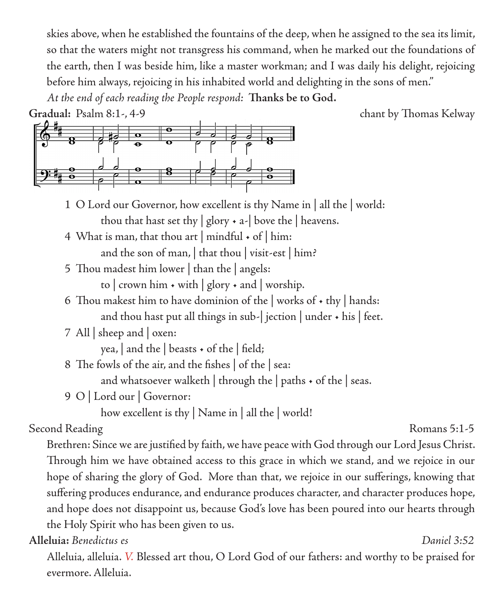skies above, when he established the fountains of the deep, when he assigned to the sea its limit, so that the waters might not transgress his command, when he marked out the foundations of the earth, then I was beside him, like a master workman; and I was daily his delight, rejoicing before him always, rejoicing in his inhabited world and delighting in the sons of men." *At the end of each reading the People respond:* **Thanks be to God.** 

**Gradual:** Psalm 8:1-, 4-9 chant by Thomas Kelway



1 O Lord our Governor, how excellent is thy Name in | all the | world: thou that hast set thy  $|$  glory  $\cdot$  a- $|$  bove the  $|$  heavens.

4 What is man, that thou art  $|$  mindful  $\star$  of  $|$  him:

and the son of man, | that thou | visit-est | him?

5 Thou madest him lower | than the | angels:

to  $\vert$  crown him  $\cdot$  with  $\vert$  glory  $\cdot$  and  $\vert$  worship.

6 Thou makest him to have dominion of the works of  $\cdot$  thy | hands:

and thou hast put all things in sub-| jection | under • his | feet.

7 All | sheep and | oxen:

yea,  $|$  and the  $|$  beasts  $\cdot$  of the  $|$  field;

8 The fowls of the air, and the fishes | of the | sea:

and whatsoever walketh | through the | paths • of the | seas.

9 O | Lord our | Governor:

how excellent is thy | Name in | all the | world!

### Second Reading Romans 5:1-5

Brethren: Since we are justified by faith, we have peace with God through our Lord Jesus Christ. Through him we have obtained access to this grace in which we stand, and we rejoice in our hope of sharing the glory of God. More than that, we rejoice in our sufferings, knowing that suffering produces endurance, and endurance produces character, and character produces hope, and hope does not disappoint us, because God's love has been poured into our hearts through the Holy Spirit who has been given to us.

**Alleluia:** *Benedictus es Daniel 3:52*

Alleluia, alleluia. *V.* Blessed art thou, O Lord God of our fathers: and worthy to be praised for evermore. Alleluia.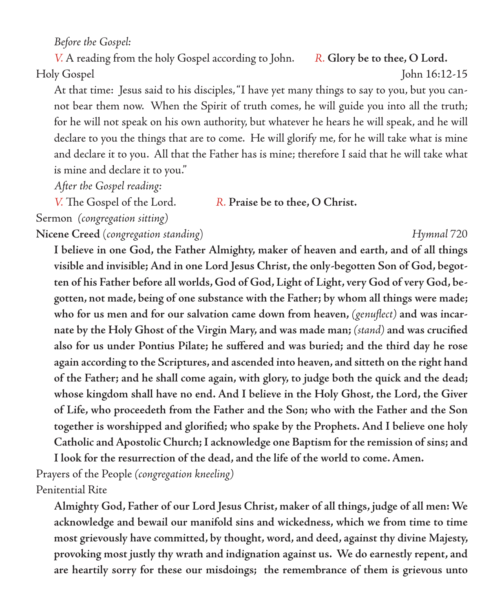*Before the Gospel:*

*V.* A reading from the holy Gospel according to John. *R.* **Glory be to thee, O Lord.** Holy Gospel John 16:12-15

At that time: Jesus said to his disciples, "I have yet many things to say to you, but you cannot bear them now. When the Spirit of truth comes, he will guide you into all the truth; for he will not speak on his own authority, but whatever he hears he will speak, and he will declare to you the things that are to come. He will glorify me, for he will take what is mine and declare it to you. All that the Father has is mine; therefore I said that he will take what is mine and declare it to you."

*After the Gospel reading:*

*V.* The Gospel of the Lord. *R.* **Praise be to thee, O Christ.**

Sermon *(congregation sitting)*

**Nicene Creed** (*congregation standing*) *Hymnal* 720

**I believe in one God, the Father Almighty, maker of heaven and earth, and of all things visible and invisible; And in one Lord Jesus Christ, the only-begotten Son of God, begotten of his Father before all worlds, God of God, Light of Light, very God of very God, begotten, not made, being of one substance with the Father; by whom all things were made; who for us men and for our salvation came down from heaven,** *(genuflect)* **and was incarnate by the Holy Ghost of the Virgin Mary, and was made man;** *(stand)* **and was crucified also for us under Pontius Pilate; he suffered and was buried; and the third day he rose again according to the Scriptures, and ascended into heaven, and sitteth on the right hand of the Father; and he shall come again, with glory, to judge both the quick and the dead; whose kingdom shall have no end. And I believe in the Holy Ghost, the Lord, the Giver of Life, who proceedeth from the Father and the Son; who with the Father and the Son together is worshipped and glorified; who spake by the Prophets. And I believe one holy Catholic and Apostolic Church; I acknowledge one Baptism for the remission of sins; and** 

**I look for the resurrection of the dead, and the life of the world to come. Amen.**

Prayers of the People *(congregation kneeling)* Penitential Rite

**Almighty God, Father of our Lord Jesus Christ, maker of all things, judge of all men: We acknowledge and bewail our manifold sins and wickedness, which we from time to time most grievously have committed, by thought, word, and deed, against thy divine Majesty, provoking most justly thy wrath and indignation against us. We do earnestly repent, and are heartily sorry for these our misdoings; the remembrance of them is grievous unto**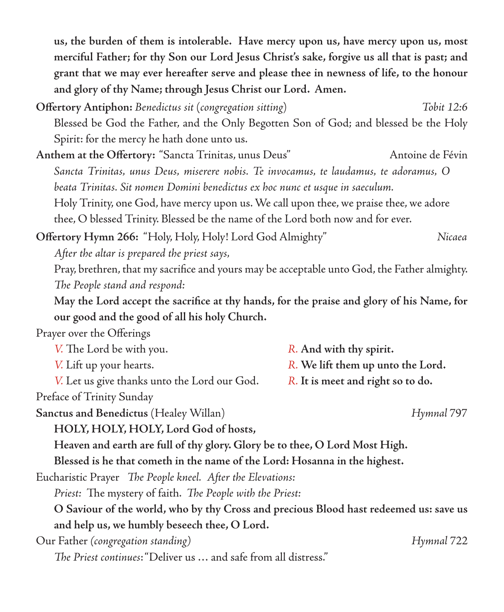**us, the burden of them is intolerable. Have mercy upon us, have mercy upon us, most merciful Father; for thy Son our Lord Jesus Christ's sake, forgive us all that is past; and grant that we may ever hereafter serve and please thee in newness of life, to the honour and glory of thy Name; through Jesus Christ our Lord. Amen.**

- **Offertory Antiphon:** *Benedictus sit* (*congregation sitting*) *Tobit 12:6* Blessed be God the Father, and the Only Begotten Son of God; and blessed be the Holy Spirit: for the mercy he hath done unto us.
- Anthem at the Offertory: "Sancta Trinitas, unus Deus" Antoine de Févin *Sancta Trinitas, unus Deus, miserere nobis. Te invocamus, te laudamus, te adoramus, O beata Trinitas. Sit nomen Domini benedictus ex hoc nunc et usque in saeculum.* Holy Trinity, one God, have mercy upon us. We call upon thee, we praise thee, we adore

thee, O blessed Trinity. Blessed be the name of the Lord both now and for ever.

**Offertory Hymn 266:** "Holy, Holy, Holy! Lord God Almighty" *Nicaea After the altar is prepared the priest says,*

Pray, brethren, that my sacrifice and yours may be acceptable unto God, the Father almighty. *The People stand and respond:*

**May the Lord accept the sacrifice at thy hands, for the praise and glory of his Name, for our good and the good of all his holy Church.**

Prayer over the Offerings

| V. The Lord be with you.                     | R. And with thy spirit.           |
|----------------------------------------------|-----------------------------------|
| V. Lift up your hearts.                      | R. We lift them up unto the Lord. |
| V. Let us give thanks unto the Lord our God. | R. It is meet and right so to do. |
| Preface of Trinity Sunday                    |                                   |

**Sanctus and Benedictus** (Healey Willan) *Hymnal* 797

**HOLY, HOLY, HOLY, Lord God of hosts,**

**Heaven and earth are full of thy glory. Glory be to thee, O Lord Most High.**

**Blessed is he that cometh in the name of the Lord: Hosanna in the highest.**

Eucharistic Prayer *The People kneel. After the Elevations:*

*Priest:* The mystery of faith. *The People with the Priest:*

**O Saviour of the world, who by thy Cross and precious Blood hast redeemed us: save us and help us, we humbly beseech thee, O Lord.**

Our Father *(congregation standing) Hymnal* 722

*The Priest continues*: "Deliver us … and safe from all distress."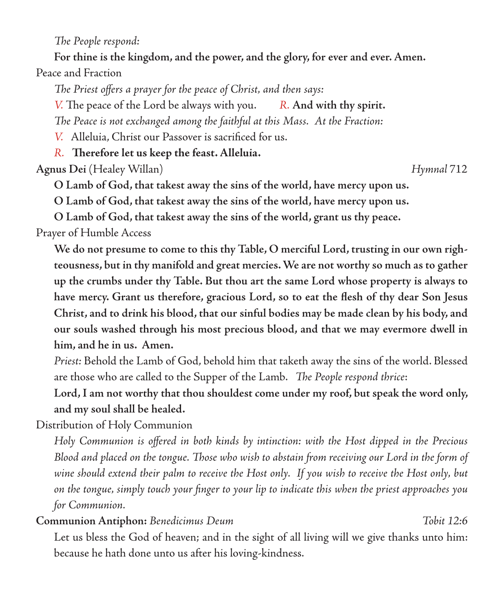*The People respond:*

**For thine is the kingdom, and the power, and the glory, for ever and ever. Amen.** Peace and Fraction

*The Priest offers a prayer for the peace of Christ, and then says:*

*V.* The peace of the Lord be always with you. *R.* **And with thy spirit.**

*The Peace is not exchanged among the faithful at this Mass. At the Fraction:*

*V.* Alleluia, Christ our Passover is sacrificed for us.

*R.* **Therefore let us keep the feast. Alleluia.**

**Agnus Dei** (Healey Willan) *Hymnal* 712

**O Lamb of God, that takest away the sins of the world, have mercy upon us.**

**O Lamb of God, that takest away the sins of the world, have mercy upon us.**

**O Lamb of God, that takest away the sins of the world, grant us thy peace.**

Prayer of Humble Access

**We do not presume to come to this thy Table, O merciful Lord, trusting in our own righteousness, but in thy manifold and great mercies. We are not worthy so much as to gather up the crumbs under thy Table. But thou art the same Lord whose property is always to have mercy. Grant us therefore, gracious Lord, so to eat the flesh of thy dear Son Jesus Christ, and to drink his blood, that our sinful bodies may be made clean by his body, and our souls washed through his most precious blood, and that we may evermore dwell in him, and he in us. Amen.**

*Priest:* Behold the Lamb of God, behold him that taketh away the sins of the world. Blessed are those who are called to the Supper of the Lamb. *The People respond thrice*:

**Lord, I am not worthy that thou shouldest come under my roof, but speak the word only, and my soul shall be healed.**

Distribution of Holy Communion

*Holy Communion is offered in both kinds by intinction: with the Host dipped in the Precious Blood and placed on the tongue. Those who wish to abstain from receiving our Lord in the form of wine should extend their palm to receive the Host only. If you wish to receive the Host only, but on the tongue, simply touch your finger to your lip to indicate this when the priest approaches you for Communion.*

### **Communion Antiphon:** *Benedicimus Deum**Tobit 12:6*

Let us bless the God of heaven; and in the sight of all living will we give thanks unto him: because he hath done unto us after his loving-kindness.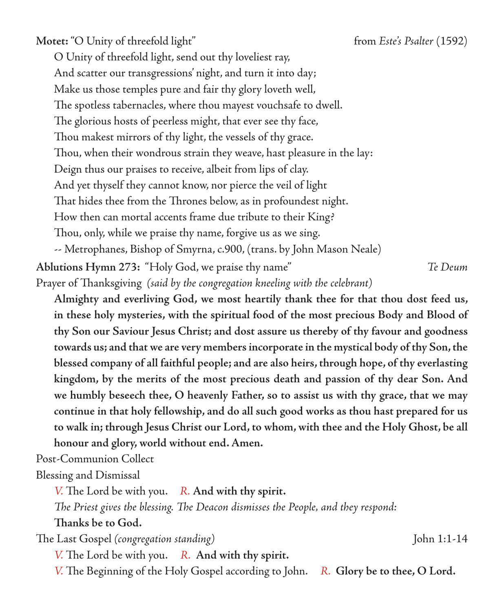Motet: "O Unity of threefold light" from *Este's Psalter* (1592)

O Unity of threefold light, send out thy loveliest ray, And scatter our transgressions' night, and turn it into day; Make us those temples pure and fair thy glory loveth well, The spotless tabernacles, where thou mayest vouchsafe to dwell. The glorious hosts of peerless might, that ever see thy face, Thou makest mirrors of thy light, the vessels of thy grace. Thou, when their wondrous strain they weave, hast pleasure in the lay: Deign thus our praises to receive, albeit from lips of clay. And yet thyself they cannot know, nor pierce the veil of light That hides thee from the Thrones below, as in profoundest night. How then can mortal accents frame due tribute to their King? Thou, only, while we praise thy name, forgive us as we sing. -- Metrophanes, Bishop of Smyrna, c.900, (trans. by John Mason Neale) **Ablutions Hymn 273:** "Holy God, we praise thy name" *Te Deum* Prayer of Thanksgiving *(said by the congregation kneeling with the celebrant)*

**Almighty and everliving God, we most heartily thank thee for that thou dost feed us, in these holy mysteries, with the spiritual food of the most precious Body and Blood of thy Son our Saviour Jesus Christ; and dost assure us thereby of thy favour and goodness towards us; and that we are very members incorporate in the mystical body of thy Son, the blessed company of all faithful people; and are also heirs, through hope, of thy everlasting kingdom, by the merits of the most precious death and passion of thy dear Son. And we humbly beseech thee, O heavenly Father, so to assist us with thy grace, that we may continue in that holy fellowship, and do all such good works as thou hast prepared for us to walk in; through Jesus Christ our Lord, to whom, with thee and the Holy Ghost, be all honour and glory, world without end. Amen.** 

Post-Communion Collect

Blessing and Dismissal

*V.* The Lord be with you. *R.* **And with thy spirit.**

*The Priest gives the blessing. The Deacon dismisses the People, and they respond:*

**Thanks be to God.**

The Last Gospel *(congregation standing)* John 1:1-14

*V.* The Lord be with you. *R.* **And with thy spirit.**

*V.* The Beginning of the Holy Gospel according to John. *R.* **Glory be to thee, O Lord.**